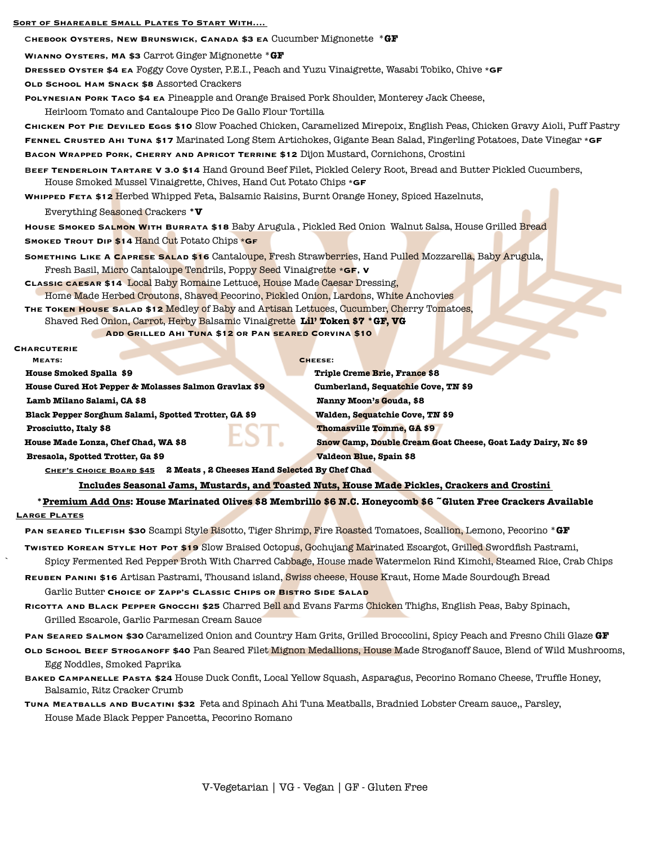## **Sort of Shareable Small Plates To Start With….**

C**hebook Oysters, New Brunswick, Canada \$3 ea** Cucumber Mignonette \***GF**

**Wianno Oysters, MA \$3** Carrot Ginger Mignonette \***GF**

**Dressed Oyster \$4 ea** Foggy Cove Oyster, P.E.I., Peach and Yuzu Vinaigrette, Wasabi Tobiko, Chive **\*GF**

 **Old School Ham Snack \$8** Assorted Crackers

**Polynesian Pork Taco \$4 ea** Pineapple and Orange Braised Pork Shoulder, Monterey Jack Cheese, Heirloom Tomato and Cantaloupe Pico De Gallo Flour Tortilla

**Chicken Pot Pie Deviled Eggs \$10** Slow Poached Chicken, Caramelized Mirepoix, English Peas, Chicken Gravy Aioli, Puff Pastry **Fennel Crusted Ahi Tuna \$17** Marinated Long Stem Artichokes, Gigante Bean Salad, Fingerling Potatoes, Date Vinegar **\*GF**

 **Bacon Wrapped Pork, Cherry and Apricot Terrine \$12** Dijon Mustard, Cornichons, Crostini

B**eef Tenderloin Tartare V 3.0 \$14** Hand Ground Beef Filet, Pickled Celery Root, Bread and Butter Pickled Cucumbers, House Smoked Mussel Vinaigrette, Chives, Hand Cut Potato Chips **\*GF**

**Whipped Feta \$12** Herbed Whipped Feta, Balsamic Raisins, Burnt Orange Honey, Spiced Hazelnuts,

 Everything Seasoned Crackers **\*V**

 **House Smoked Salmon With Burrata \$18** Baby Arugula , Pickled Red Onion Walnut Salsa, House Grilled Bread **Smoked Trout Dip \$14** Hand Cut Potato Chips **\*Gf**

**Something Like A Caprese Salad \$16** Cantaloupe, Fresh Strawberries, Hand Pulled Mozzarella, Baby Arugula, Fresh Basil, Micro Cantaloupe Tendrils, Poppy Seed Vinaigrette **\*GF, V**

 **Classic caesar \$14** Local Baby Romaine Lettuce, House Made Caesar Dressing, Home Made Herbed Croutons, Shaved Pecorino, Pickled Onion, Lardons, White Anchovies

**The Token House Salad \$12** Medley of Baby and Artisan Lettuces, Cucumber, Cherry Tomatoes, 

 Shaved Red Onion, Carrot, Herby Balsamic Vinaigrette **Lil' Token \$7 \*GF, VG**

 **Add Grilled Ahi Tuna \$12 or Pan seared Corvina \$10** 

## **Charcuterie**

 **MEATS:** CHEESE:

 **House Smoked Spalla \$9 <b> Triple Creme Brie, France \$8** 

 **House Cured Hot Pepper & Molasses Salmon Gravlax \$9 Cumberland, Sequatchie Cove, TN \$9** 

 **Lamb Milano Salami, CA \$8 <b>***Milano Salami, CA \$8 Manny Moon's Gouda, \$8* 

 **Black Pepper Sorghum Salami, Spotted Trotter, GA \$9 <b>***Walden, Sequatchie Cove, TN \$9* 

 **Prosciutto, Italy \$8 <b> Thomasville Tomme, GA \$9** 

 **House Made Lonza, Chef Chad, WA \$8 Snow Camp, Double Cream Goat Cheese, Goat Lady Dairy, Nc \$9** 

**Bresaola, Spotted Trotter, Ga \$9 Valdeon Blue, Spain \$8** 

CHEF'S CHOICE BOARD \$45 2 Meats, 2 Cheeses Hand Selected By Chef Chad

 **Includes Seasonal Jams, Mustards, and Toasted Nuts, House Made Pickles, Crackers and Crostini** 

**\*Premium Add Ons: House Marinated Olives \$8 Membrillo \$6 N.C. Honeycomb \$6 ~Gluten Free Crackers Available Large Plates** 

 **Pan seared Tilefish \$30** Scampi Style Risotto, Tiger Shrimp, Fire Roasted Tomatoes, Scallion, Lemono, Pecorino \***GF**

**Twisted Korean Style Hot Pot \$19** Slow Braised Octopus, Gochujang Marinated Escargot, Grilled Swordfish Pastrami,

Spicy Fermented Red Pepper Broth With Charred Cabbage, House made Watermelon Rind Kimchi, Steamed Rice, Crab Chips

**Reuben Panini \$16** Artisan Pastrami, Thousand island, Swiss cheese, House Kraut, Home Made Sourdough Bread

 Garlic Butter **Choice of Zapp's Classic Chips or Bistro Side Salad**

 **Ricotta and Black Pepper Gnocchi \$25** Charred Bell and Evans Farms Chicken Thighs, English Peas, Baby Spinach, Grilled Escarole, Garlic Parmesan Cream Sauce

**Pan Seared Salmon \$30** Caramelized Onion and Country Ham Grits, Grilled Broccolini, Spicy Peach and Fresno Chili Glaze **GF**

**Old School Beef Stroganoff \$40** Pan Seared Filet Mignon Medallions, House Made Stroganoff Sauce, Blend of Wild Mushrooms, Egg Noddles, Smoked Paprika

B**aked Campanelle Pasta \$24** House Duck Confit, Local Yellow Squash, Asparagus, Pecorino Romano Cheese, Truffle Honey, Balsamic, Ritz Cracker Crumb

 **Tuna Meatballs and Bucatini \$32** Feta and Spinach Ahi Tuna Meatballs, Bradnied Lobster Cream sauce,, Parsley, House Made Black Pepper Pancetta, Pecorino Romano